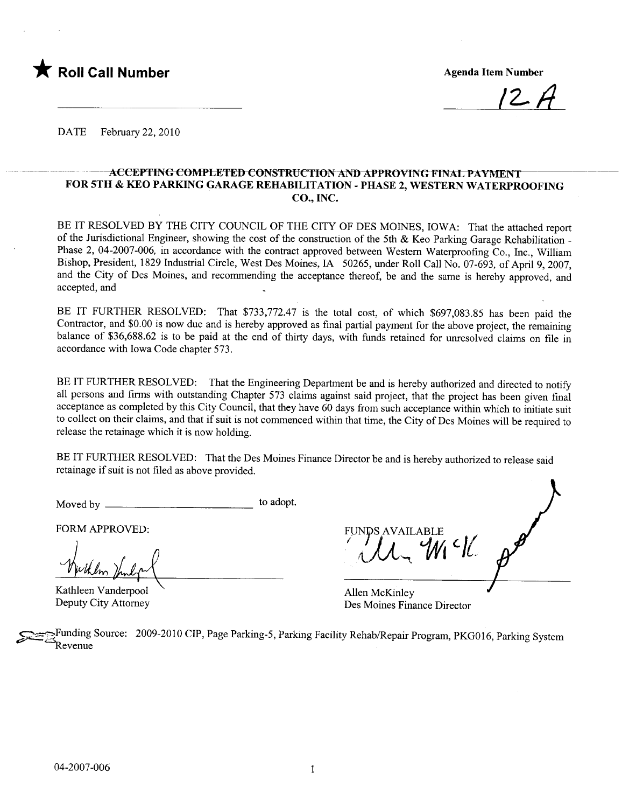

 $1$   $\leftarrow$   $\pi$ 

DATE February 22, 2010

## ACCEPTING COMPLETED CONSTRUCTION AND APPROVING FINAL PAYMENT FOR 5TH & KEO PARKING GARAGE REHABILITATION - PHASE 2, WESTERN WATERPROOFING CO., INC.

BE IT RESOLVED BY THE CITY COUNCIL OF THE CITY OF DES MOINES, IOWA: That the attached report of the Jurisdictional Engineer, showing the cost of the construction of the 5th & Keo Parking Garage Rehabilitation -Phase 2, 04-2007-006, in accordance with the contract approved between Western Waterproofing Co., Inc., William Bishop, President, 1829 Industrial Circle, West Des Moines, IA 50265, under Roll Call No. 07-693, of April 9, 2007, and the City of Des Moines, and recommending the acceptance thereof, be and the same is hereby approved, and accepted, and

BE IT FURTHER RESOLVED: That \$733,772.47 is the total cost, of which \$697,083.85 has been paid the Contractor, and \$0.00 is now due and is hereby approved as final partial payment for the above project, the remaining balance of \$36,688.62 is to be paid at the end of thirty days, with funds retained for unresolved claims on file in accordance with Iowa Code chapter 573.

BE IT FURTHER RESOLVED: That the Engineering Department be and is hereby authorized and directed to notify all persons and firms with outstanding Chapter 573 claims against said project, that the project has been given final acceptance as completed by this City Council, that they have 60 days from such acceptance within which to initiate suit to collect on their claims, and that if suit is not commenced within that time, the City of Des Moines will be required to release the retainage which it is now holding.

BE IT FURTHER RESOLVED: That the Des Moines Finance Director be and is hereby authorized to release said retainage if suit is not fied as above provided.

Moved by to adopt.

FORM APPROVED:

FORM APPROVED:<br>With July

Deputy City Attorney

FUNDS AVAILABLE  $\mathcal{L}$ 

Allen McKinley Des Moines Finance Director

Funding Source: 2009-2010 CIP, Page Parking-5, Parking Facility Rehab/Repair Program, PKG016, Parking System \*Revenue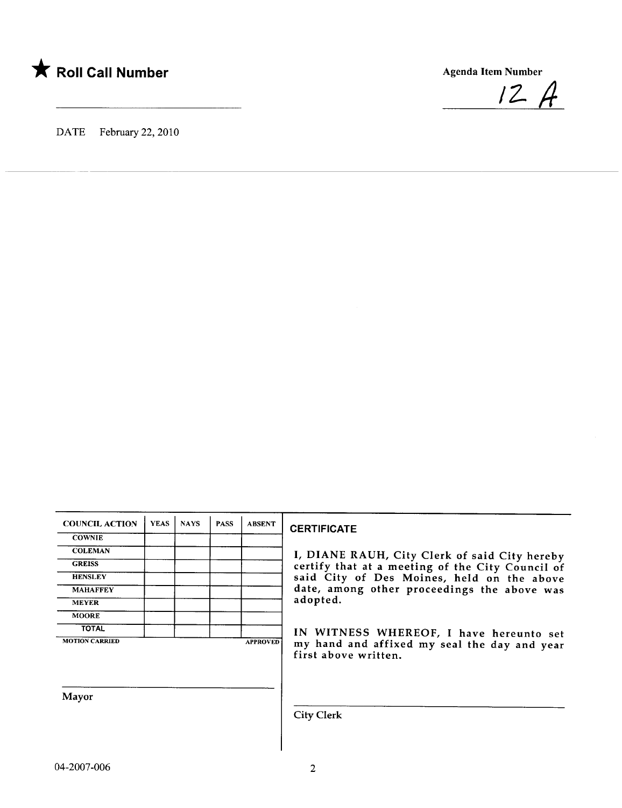

 $12A$ 

DATE February 22, 2010

| <b>COUNCIL ACTION</b> | <b>YEAS</b> | <b>NAYS</b> | <b>PASS</b> | <b>ABSENT</b>   |
|-----------------------|-------------|-------------|-------------|-----------------|
| <b>COWNIE</b>         |             |             |             |                 |
| <b>COLEMAN</b>        |             |             |             |                 |
| <b>GREISS</b>         |             |             |             |                 |
| <b>HENSLEY</b>        |             |             |             |                 |
| <b>MAHAFFEY</b>       |             |             |             |                 |
| <b>MEYER</b>          |             |             |             |                 |
| <b>MOORE</b>          |             |             |             |                 |
| <b>TOTAL</b>          |             |             |             |                 |
| <b>MOTION CARRIED</b> |             |             |             | <b>APPROVED</b> |

## Mayor

**CERTIFICATE** 

I, DIANE RAUH, City Clerk of said City hereby GREISS GREISS certify that at a meeting of the City Council of HENSLEY **STATES SAID STATES SAID CITY OF DES Moines, held on the above** date, among other proceedings the above was adopted.

> IN WITNESS WHEREOF, I have hereunto set my hand and affixed my seal the day and year first above written.

City Clerk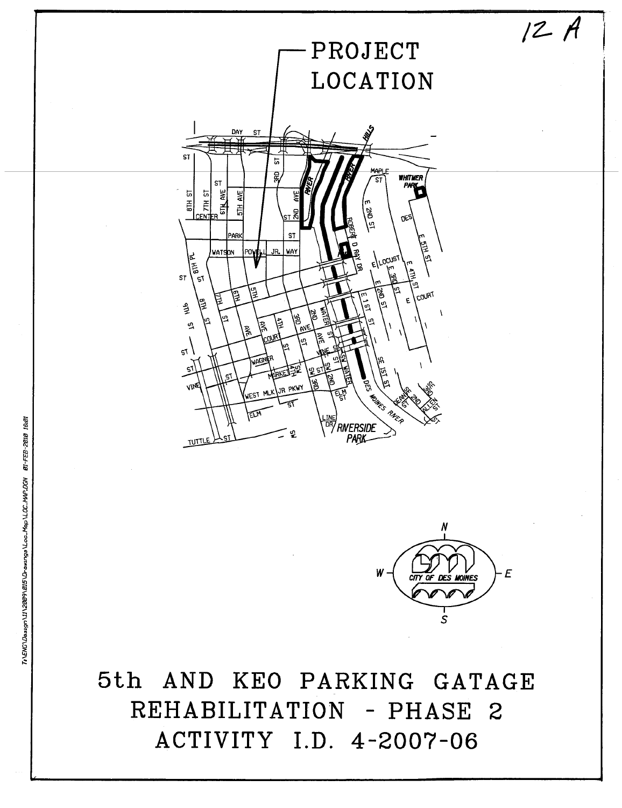

5th AND KEO PARKING GATAGE REHABILITATION - PHASE 2 ACTIVITY I.D. 4-2007-06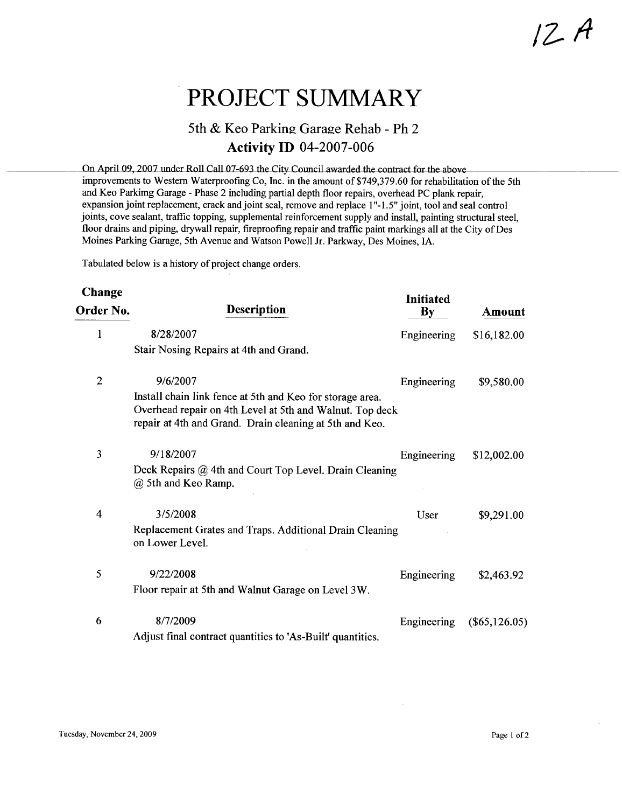# PROJECT SUMMARY

# 5th & Keo Parking Garage Rehab - Ph 2 **Activity ID 04-2007-006**

On April 09, 2007 under Roll Call 07-693 the City Council awarded the contract for the above improvements to Western Waterproofing Co, Inc. in the amount of \$749,379.60 for rehabilitation of the 5th and Keo Parkimg Garage - Phase 2 including partial depth floor repairs, overhead PC plank repair, expansion joint replacement, crack and joint seal, remove and replace 1"-1.5" joint, tool and seal control joints, cove sealant, traffic topping, supplemental reinforcement supply and install, painting structural steel, floor drains and piping, drywall repair, fireproofing repair and traffic paint markings all at the City of Des Moines Parking Garage, 5th Avenue and Watson Powell Jr. Parkway, Des Moines, IA.

Tabulated below is a history of project change orders.

| Change         |                                                                                                                                                                                  | <b>Initiated</b> |                 |
|----------------|----------------------------------------------------------------------------------------------------------------------------------------------------------------------------------|------------------|-----------------|
| Order No.      | <b>Description</b>                                                                                                                                                               | $\mathbf{By}$    | Amount          |
| 1              | 8/28/2007                                                                                                                                                                        | Engineering      | \$16,182.00     |
|                | Stair Nosing Repairs at 4th and Grand.                                                                                                                                           |                  |                 |
| $\overline{2}$ | 9/6/2007                                                                                                                                                                         | Engineering      | \$9,580.00      |
|                | Install chain link fence at 5th and Keo for storage area.<br>Overhead repair on 4th Level at 5th and Walnut. Top deck<br>repair at 4th and Grand. Drain cleaning at 5th and Keo. |                  |                 |
| 3              | 9/18/2007                                                                                                                                                                        | Engineering      | \$12,002.00     |
|                | Deck Repairs @ 4th and Court Top Level. Drain Cleaning<br>@ 5th and Keo Ramp.                                                                                                    |                  |                 |
| 4              | 3/5/2008                                                                                                                                                                         | User             | \$9,291.00      |
|                | Replacement Grates and Traps. Additional Drain Cleaning<br>on Lower Level.                                                                                                       |                  |                 |
| 5              | 9/22/2008                                                                                                                                                                        | Engineering      | \$2,463.92      |
|                | Floor repair at 5th and Walnut Garage on Level 3W.                                                                                                                               |                  |                 |
| 6              | 8/7/2009                                                                                                                                                                         | Engineering      | $(\$65,126.05)$ |
|                | Adjust final contract quantities to 'As-Built' quantities.                                                                                                                       |                  |                 |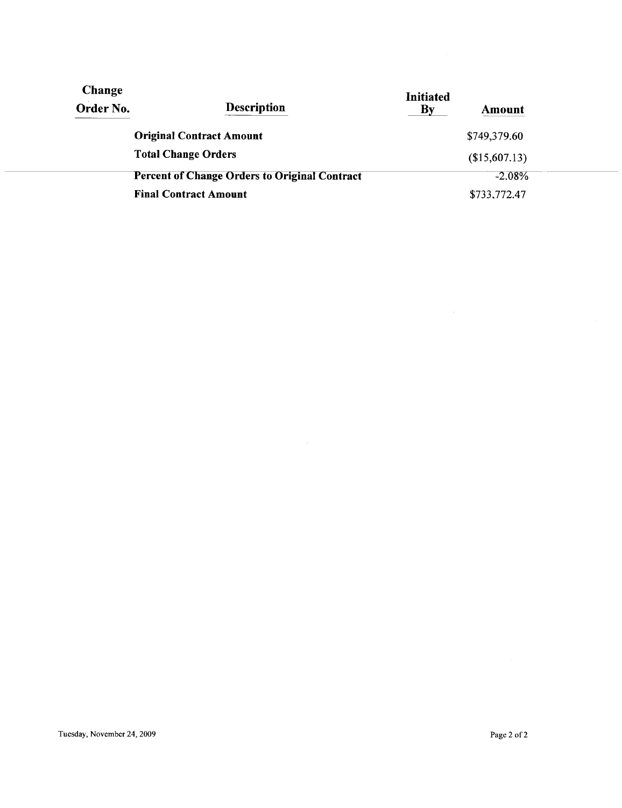| Change<br>Order No. | <b>Description</b>                                   | <b>Initiated</b><br>By<br>Amount |  |
|---------------------|------------------------------------------------------|----------------------------------|--|
|                     | <b>Original Contract Amount</b>                      | \$749,379.60                     |  |
|                     | <b>Total Change Orders</b>                           | (\$15,607.13)                    |  |
|                     | <b>Percent of Change Orders to Original Contract</b> | $-2.08%$                         |  |
|                     | <b>Final Contract Amount</b>                         | \$733,772.47                     |  |

 $\mathcal{A}^{\pm}$ 

 $\mathcal{A}^{\mathcal{A}}$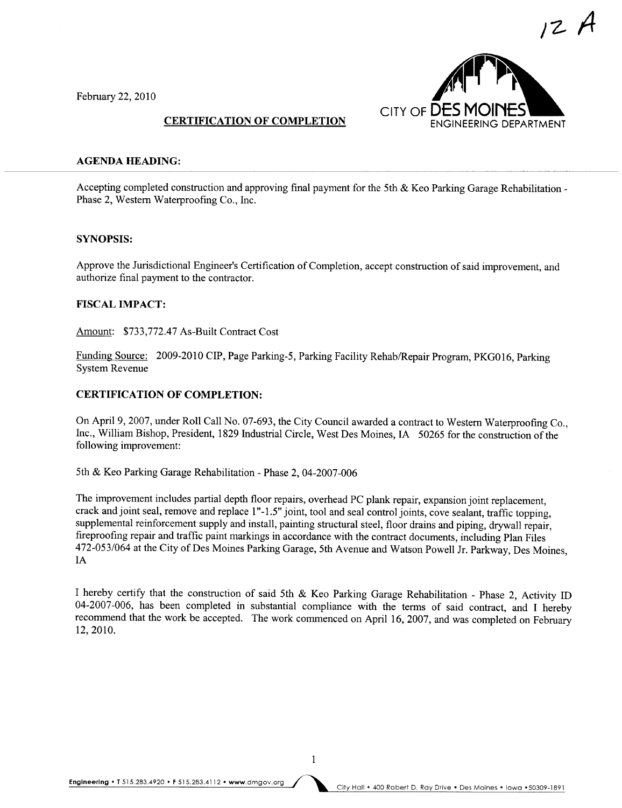

1Z- A

#### February 22,2010

#### CERTIFICATION OF COMPLETION

#### AGENDA HEADING:

Accepting completed construction and approving final payment for the 5th & Keo Parking Garage Rehabilitation - Phase 2, Western Waterproofing Co., Inc.

#### SYNOPSIS:

Approve the Jurisdictional Engineer's Certification of Completion, accept construction of said improvement, and authorize final payment to the contractor.

#### FISCAL IMPACT:

Amount: \$733,772.47 As-Built Contract Cost

Funding Source: 2009-2010 CIP, Page Parking-5, Parking Facility Rehab/Repair Program, PKGOI6, Parking System Reyenue

# CERTIFICATION OF COMPLETION:

On April 9, 2007, under Roll Call No. 07-693, the City Council awarded a contract to Western Waterproofing Co., Inc., Wiliam Bishop, President, 1829 Industrial Circle, West Des Moines, IA 50265 for the construction of the following improvement:

5th & Keo Parking Garage Rehabilitation - Phase 2, 04-2007-006

The improvement includes partial depth floor repairs, overhead PC plank repair, expansion joint replacement, crack and joint seal, remove and replace 1"-1.5" joint, tool and seal control joints, cove sealant, traffic topping, supplemental reinforcement supply and install, painting structural steel, floor drains and piping, drywall repair, fireproofing repair and traffic paint markings in accordance with the contract documents, including Plan Files 472-053/064 at the City of Des Moines Parking Garage, 5th Avenue and Watson Powell Jr. Parkway, Des Moines, IA

I hereby certify that the construction of said 5th & Keo Parking Garage Rehabilitation - Phase 2, Activity ID 04-2007-006, has been completed in substantial compliance with the terms of said contract, and I hereby recommend that the work be accepted. The work commenced on April 16, 2007, and was completed on February 12,2010.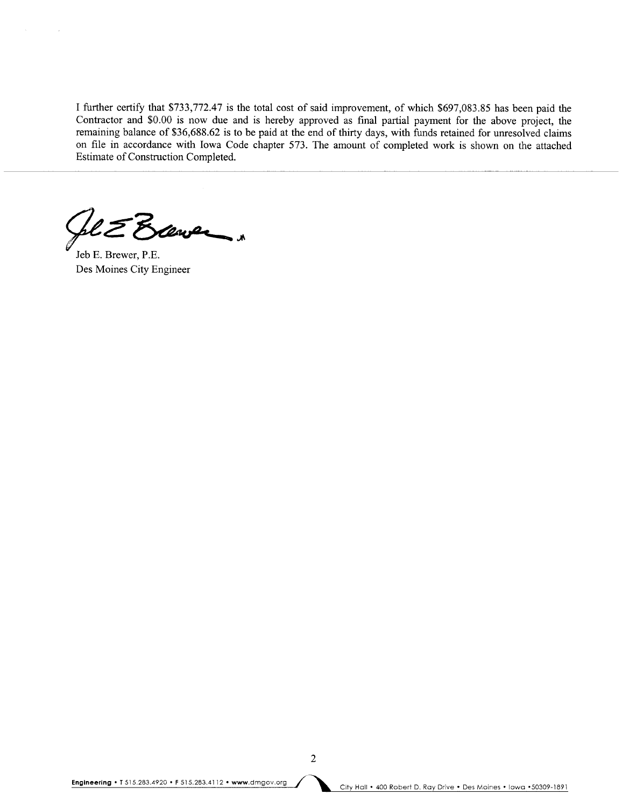I further certify that \$733,772.47 is the total cost of said improvement, of which \$697,083.85 has been paid the Contractor and \$0.00 is now due and is hereby approved as final partial payment for the above project, the rernaining balance of \$36,688.62 is to be paid at the end of thirty days, with funds retained for unresolved claims on fie in accordance with Iowa Code chapter 573. The amount of completed work is shown on the attached Estimate of Construction Completed.

Scener "

Jeb E. Brewer, P.E. Des Moines City Engineer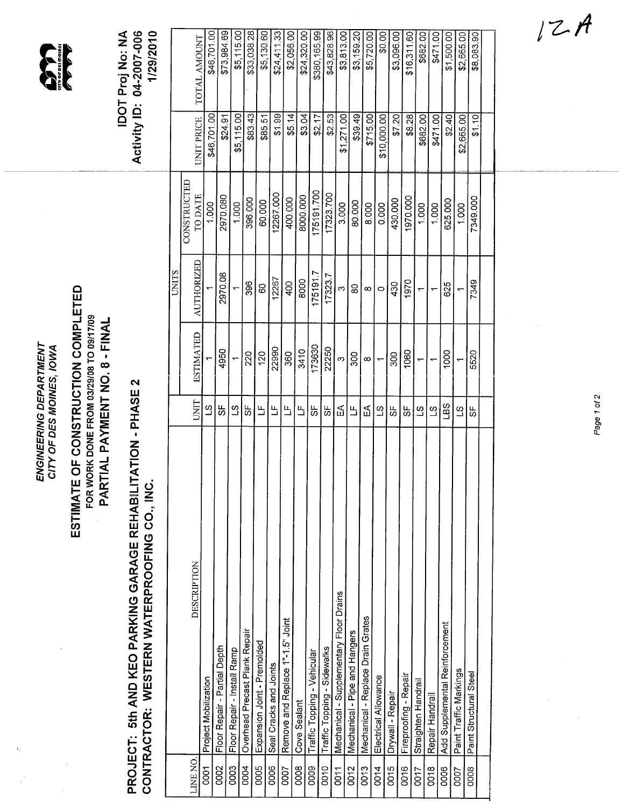|                                                    |                                                                               | Activity ID: 04-2007-006<br>1/29/2010<br><b>IDOT Proj No: NA</b>                                                       |              | TOTAL AMOUNT<br>UNIT PRICE<br>CONSTRUCTED<br>TO DATE | \$46,701.00<br>\$46,701.00<br>1.000 | \$73,984.69<br>\$24.91<br>2970.080            | \$5,115.00<br>\$5,115.00<br>1.000                              | \$33,038.28<br>\$83.43<br>396.000     | \$5,130.60<br>\$85.51<br>60.000                         | \$24,411.33<br>\$1.99<br>12267.000 | \$2,056.00<br>\$5.14<br>400.000          | \$24,320.00<br>\$3.04<br>8000.000 | \$380,165.99<br>\$2.17<br>175191700 | \$43,828.96<br>\$2.53<br>17323.700  | \$3,813.00<br>\$1,271.00<br>3.000               | \$3,159.20<br>\$39.49<br>80.000       | \$5,720.00<br>\$715.00<br>8.000           | \$0.00<br>\$10,000.00<br>0.000 | \$3,096.00<br>\$7.20<br>430.000 | \$16,311.60<br>\$8.28<br>1970.000 | \$682.00<br>\$682.00<br>1.000 | \$471.00<br>\$471.00<br>1.000 | \$1,500.00<br>\$2.40<br>625.000        | \$2,665.00<br>\$2,665.00<br>1.000 | \$8,083.90<br>\$1.10<br>7349.000 |  |
|----------------------------------------------------|-------------------------------------------------------------------------------|------------------------------------------------------------------------------------------------------------------------|--------------|------------------------------------------------------|-------------------------------------|-----------------------------------------------|----------------------------------------------------------------|---------------------------------------|---------------------------------------------------------|------------------------------------|------------------------------------------|-----------------------------------|-------------------------------------|-------------------------------------|-------------------------------------------------|---------------------------------------|-------------------------------------------|--------------------------------|---------------------------------|-----------------------------------|-------------------------------|-------------------------------|----------------------------------------|-----------------------------------|----------------------------------|--|
|                                                    |                                                                               |                                                                                                                        | <b>CLIND</b> | <b>AUTHORIZED</b>                                    |                                     | 2970.08                                       |                                                                | 396                                   | 80                                                      | 12267                              | 400                                      | 8000                              | 175191.7                            | 17323.7                             | $\infty$                                        | 8                                     | $\infty$                                  | $\circ$                        | 430                             | 1970                              | $\overline{\phantom{0}}$      | $\leftarrow$                  | 625                                    | $\overline{ }$                    | 7349                             |  |
| ENGINEERING DEPARTMENT<br>CITY OF DES MOINES, IOWA | PARTIAL PAYMENT NO. 8 - FINAL                                                 |                                                                                                                        |              | <b>ESTIMATED</b>                                     |                                     | 4950                                          | $\leftarrow$                                                   | 220                                   | 120                                                     | 22990                              | 360                                      | 3410                              | 173630                              | 22250                               | $\infty$                                        | 300                                   | $\infty$                                  | $\leftarrow$                   | 300                             | 1060                              | ٣                             | $\overline{ }$                | 1000                                   |                                   | 5520                             |  |
|                                                    |                                                                               |                                                                                                                        |              | UNIT                                                 | $\overline{a}$                      | ပ္တ                                           | $\overline{c}$                                                 | 5F                                    | 凸                                                       | Щ                                  | 띀                                        | 凸                                 | 55                                  | 9                                   | $E^{\mathsf{A}}$                                | 凸                                     | 및                                         | $\overline{3}$                 | 55                              | ပ္တ                               | $\overline{c}$                | $\overline{c}$                | San                                    | $\Omega$                          | 43                               |  |
|                                                    | ESTIMATE OF CONSTRUCTION COMPLETED<br>FOR WORK DONE FROM 03/29/08 TO 09/17/09 | <b>ITATION - PHASE 2</b><br>CONTRACTOR: WESTERN WATERPROOFING CO., INC<br>PROJECT: 5th AND KEO PARKING GARAGE REHABILI |              | <b>DESCRIPTION</b><br>LINE NO.                       | Project Mobilization<br>0001        | Floor Repair - Partial Depth<br>$\frac{1}{8}$ | Floor Repair - Install Ramp<br>$\overline{\mathsf{g}}_{\vert}$ | Overhead Precast Plank Repair<br>0004 | Expansion Joint - Premolded<br>$\overline{\frac{1}{8}}$ | Seal Cracks and Joints<br>0006     | Remove and Replace 1"-1.5" Joint<br>0007 | Cove Sealant<br>$\frac{1}{2}$     | Traffic Topping - Vehicular<br>0009 | Traffic Topping - Sidewalks<br>0010 | Mechanical - Supplementary Floor Drains<br>0011 | Mechanical - Pipe and Hangers<br>0012 | Mechanical - Replace Drain Grates<br>0013 | Electrical Allowance<br>0014   | Drywall - Repair<br>0015        | Fireproofing - Repair<br>0016     | Straighten Handrail<br>0017   | Repair Handrail<br>0018       | Add Supplemental Reinforcement<br>0006 | Paint Traffic Markings<br>0007    | Paint Structural Steel<br>ooos   |  |

Page 1 of 2

 $\frac{1}{\sqrt{2}}$ 

 $\hat{\boldsymbol{\cdot}$ 

 $12A$